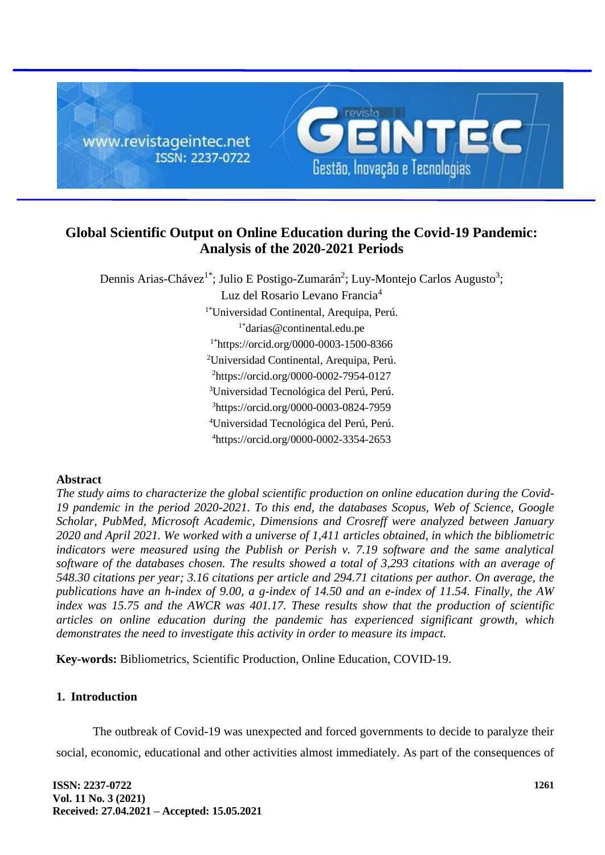

# **Global Scientific Output on Online Education during the Covid-19 Pandemic: Analysis of the 2020-2021 Periods**

Dennis Arias-Chávez<sup>1\*</sup>; Julio E Postigo-Zumarán<sup>2</sup>; Luy-Montejo Carlos Augusto<sup>3</sup>;

Luz del Rosario Levano Francia<sup>4</sup>

1\*Universidad Continental, Arequipa, Perú.

1\*darias@continental.edu.pe

1\*https://orcid.org/0000-0003-1500-8366

<sup>2</sup>Universidad Continental, Arequipa, Perú.

<sup>2</sup>https://orcid.org/0000-0002-7954-0127

<sup>3</sup>Universidad Tecnológica del Perú, Perú.

<sup>3</sup>https://orcid.org/0000-0003-0824-7959

<sup>4</sup>Universidad Tecnológica del Perú, Perú.

<sup>4</sup>https://orcid.org/0000-0002-3354-2653

### **Abstract**

*The study aims to characterize the global scientific production on online education during the Covid-19 pandemic in the period 2020-2021. To this end, the databases Scopus, Web of Science, Google Scholar, PubMed, Microsoft Academic, Dimensions and Crosreff were analyzed between January 2020 and April 2021. We worked with a universe of 1,411 articles obtained, in which the bibliometric indicators were measured using the Publish or Perish v. 7.19 software and the same analytical software of the databases chosen. The results showed a total of 3,293 citations with an average of 548.30 citations per year; 3.16 citations per article and 294.71 citations per author. On average, the publications have an h-index of 9.00, a g-index of 14.50 and an e-index of 11.54. Finally, the AW index was 15.75 and the AWCR was 401.17. These results show that the production of scientific articles on online education during the pandemic has experienced significant growth, which demonstrates the need to investigate this activity in order to measure its impact.*

**Key-words:** Bibliometrics, Scientific Production, Online Education, COVID-19.

## **1. Introduction**

The outbreak of Covid-19 was unexpected and forced governments to decide to paralyze their social, economic, educational and other activities almost immediately. As part of the consequences of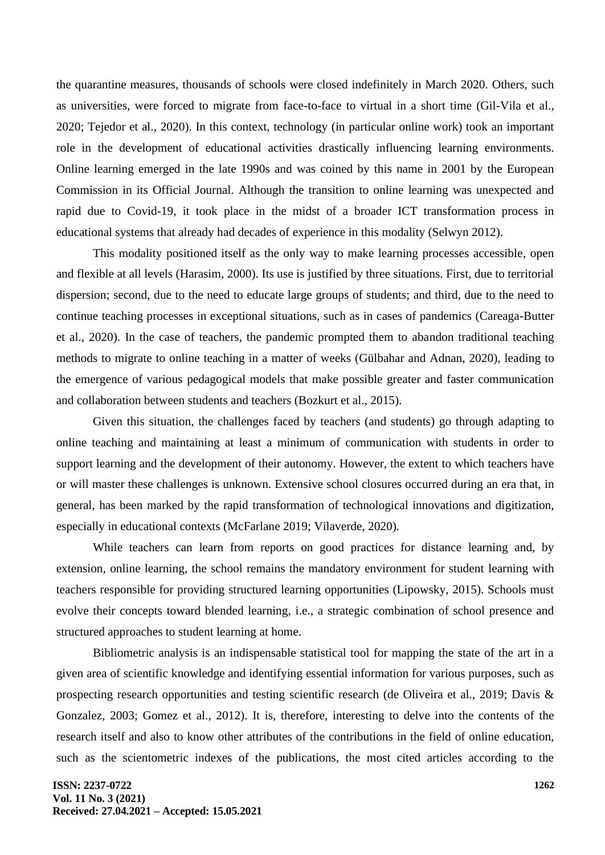the quarantine measures, thousands of schools were closed indefinitely in March 2020. Others, such as universities, were forced to migrate from face-to-face to virtual in a short time (Gil-Vila et al., 2020; Tejedor et al., 2020). In this context, technology (in particular online work) took an important role in the development of educational activities drastically influencing learning environments. Online learning emerged in the late 1990s and was coined by this name in 2001 by the European Commission in its Official Journal. Although the transition to online learning was unexpected and rapid due to Covid-19, it took place in the midst of a broader ICT transformation process in educational systems that already had decades of experience in this modality (Selwyn 2012).

This modality positioned itself as the only way to make learning processes accessible, open and flexible at all levels (Harasim, 2000). Its use is justified by three situations. First, due to territorial dispersion; second, due to the need to educate large groups of students; and third, due to the need to continue teaching processes in exceptional situations, such as in cases of pandemics (Careaga-Butter et al., 2020). In the case of teachers, the pandemic prompted them to abandon traditional teaching methods to migrate to online teaching in a matter of weeks (Gülbahar and Adnan, 2020), leading to the emergence of various pedagogical models that make possible greater and faster communication and collaboration between students and teachers (Bozkurt et al., 2015).

Given this situation, the challenges faced by teachers (and students) go through adapting to online teaching and maintaining at least a minimum of communication with students in order to support learning and the development of their autonomy. However, the extent to which teachers have or will master these challenges is unknown. Extensive school closures occurred during an era that, in general, has been marked by the rapid transformation of technological innovations and digitization, especially in educational contexts (McFarlane 2019; Vilaverde, 2020).

While teachers can learn from reports on good practices for distance learning and, by extension, online learning, the school remains the mandatory environment for student learning with teachers responsible for providing structured learning opportunities (Lipowsky, 2015). Schools must evolve their concepts toward blended learning, i.e., a strategic combination of school presence and structured approaches to student learning at home.

Bibliometric analysis is an indispensable statistical tool for mapping the state of the art in a given area of scientific knowledge and identifying essential information for various purposes, such as prospecting research opportunities and testing scientific research (de Oliveira et al., 2019; Davis & Gonzalez, 2003; Gomez et al., 2012). It is, therefore, interesting to delve into the contents of the research itself and also to know other attributes of the contributions in the field of online education, such as the scientometric indexes of the publications, the most cited articles according to the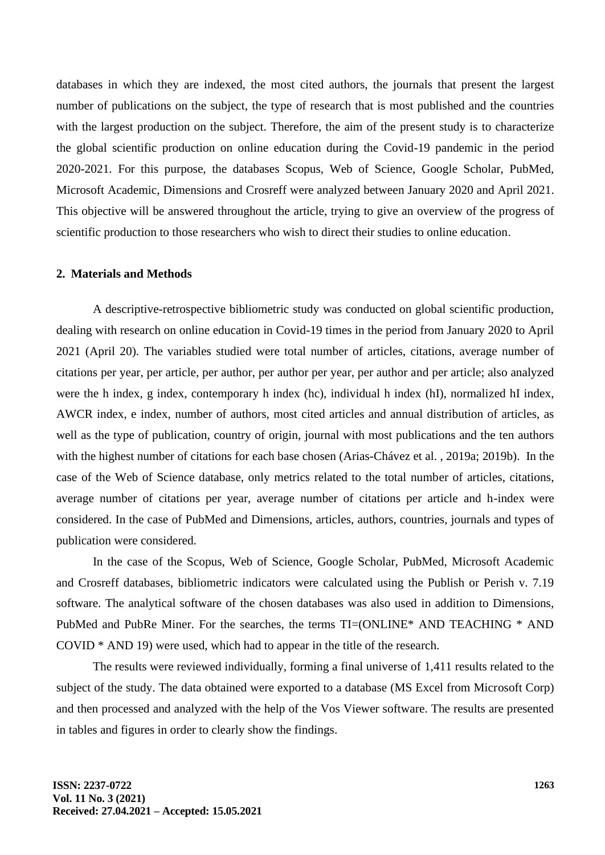databases in which they are indexed, the most cited authors, the journals that present the largest number of publications on the subject, the type of research that is most published and the countries with the largest production on the subject. Therefore, the aim of the present study is to characterize the global scientific production on online education during the Covid-19 pandemic in the period 2020-2021. For this purpose, the databases Scopus, Web of Science, Google Scholar, PubMed, Microsoft Academic, Dimensions and Crosreff were analyzed between January 2020 and April 2021. This objective will be answered throughout the article, trying to give an overview of the progress of scientific production to those researchers who wish to direct their studies to online education.

#### **2. Materials and Methods**

A descriptive-retrospective bibliometric study was conducted on global scientific production, dealing with research on online education in Covid-19 times in the period from January 2020 to April 2021 (April 20). The variables studied were total number of articles, citations, average number of citations per year, per article, per author, per author per year, per author and per article; also analyzed were the h index, g index, contemporary h index (hc), individual h index (hI), normalized hI index, AWCR index, e index, number of authors, most cited articles and annual distribution of articles, as well as the type of publication, country of origin, journal with most publications and the ten authors with the highest number of citations for each base chosen (Arias-Chávez et al. , 2019a; 2019b). In the case of the Web of Science database, only metrics related to the total number of articles, citations, average number of citations per year, average number of citations per article and h-index were considered. In the case of PubMed and Dimensions, articles, authors, countries, journals and types of publication were considered.

In the case of the Scopus, Web of Science, Google Scholar, PubMed, Microsoft Academic and Crosreff databases, bibliometric indicators were calculated using the Publish or Perish v. 7.19 software. The analytical software of the chosen databases was also used in addition to Dimensions, PubMed and PubRe Miner. For the searches, the terms TI=(ONLINE\* AND TEACHING \* AND COVID \* AND 19) were used, which had to appear in the title of the research.

The results were reviewed individually, forming a final universe of 1,411 results related to the subject of the study. The data obtained were exported to a database (MS Excel from Microsoft Corp) and then processed and analyzed with the help of the Vos Viewer software. The results are presented in tables and figures in order to clearly show the findings.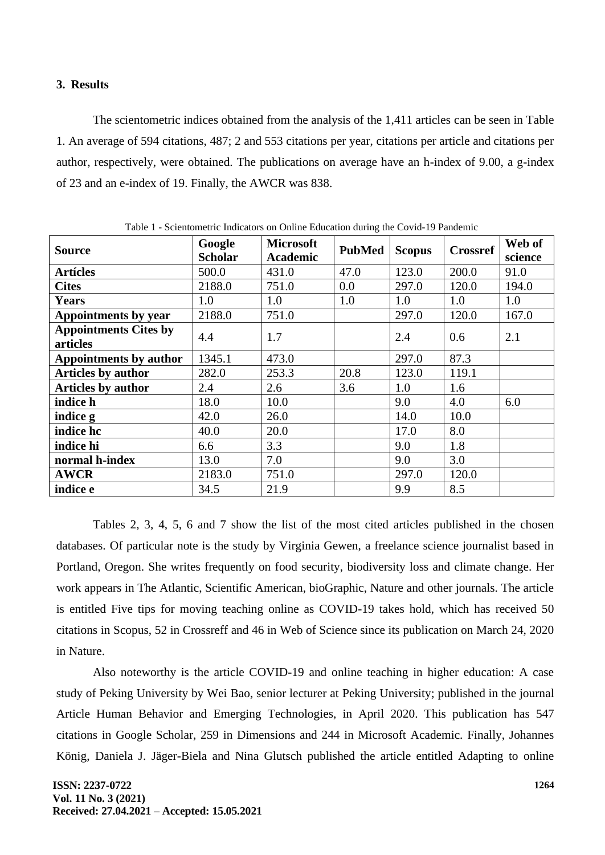#### **3. Results**

The scientometric indices obtained from the analysis of the 1,411 articles can be seen in Table 1. An average of 594 citations, 487; 2 and 553 citations per year, citations per article and citations per author, respectively, were obtained. The publications on average have an h-index of 9.00, a g-index of 23 and an e-index of 19. Finally, the AWCR was 838.

| Table 1 - Scientometric Indicators on Online Education during the Covid-19 Pandemic |                          |                                     |               |               |                 |                   |  |
|-------------------------------------------------------------------------------------|--------------------------|-------------------------------------|---------------|---------------|-----------------|-------------------|--|
| <b>Source</b>                                                                       | Google<br><b>Scholar</b> | <b>Microsoft</b><br><b>Academic</b> | <b>PubMed</b> | <b>Scopus</b> | <b>Crossref</b> | Web of<br>science |  |
| <b>Artícles</b>                                                                     | 500.0                    | 431.0                               | 47.0          | 123.0         | 200.0           | 91.0              |  |
| <b>Cites</b>                                                                        | 2188.0                   | 751.0                               | 0.0           | 297.0         | 120.0           | 194.0             |  |
| <b>Years</b>                                                                        | 1.0                      | 1.0                                 | 1.0           | 1.0           | 1.0             | 1.0               |  |
| <b>Appointments by year</b>                                                         | 2188.0                   | 751.0                               |               | 297.0         | 120.0           | 167.0             |  |
| <b>Appointments Cites by</b><br>articles                                            | 4.4                      | 1.7                                 |               | 2.4           | 0.6             | 2.1               |  |
| <b>Appointments by author</b>                                                       | 1345.1                   | 473.0                               |               | 297.0         | 87.3            |                   |  |
| <b>Articles by author</b>                                                           | 282.0                    | 253.3                               | 20.8          | 123.0         | 119.1           |                   |  |
| <b>Articles by author</b>                                                           | 2.4                      | 2.6                                 | 3.6           | 1.0           | 1.6             |                   |  |
| indice h                                                                            | 18.0                     | 10.0                                |               | 9.0           | 4.0             | 6.0               |  |
| indice g                                                                            | 42.0                     | 26.0                                |               | 14.0          | 10.0            |                   |  |
| indice hc                                                                           | 40.0                     | 20.0                                |               | 17.0          | 8.0             |                   |  |
| indice hi                                                                           | 6.6                      | 3.3                                 |               | 9.0           | 1.8             |                   |  |
| normal h-index                                                                      | 13.0                     | 7.0                                 |               | 9.0           | 3.0             |                   |  |
| <b>AWCR</b>                                                                         | 2183.0                   | 751.0                               |               | 297.0         | 120.0           |                   |  |
| indice e                                                                            | 34.5                     | 21.9                                |               | 9.9           | 8.5             |                   |  |

 $T_{\rm c}$  11.1.1  $-$  Scienters of  $\Gamma$  is  $T_{\rm c}$  in our  $\Omega$  on  $T_{\rm c}$  . Education during the  $C_{\rm c}$  is 1.10  $D_{\rm c}$  and  $\omega$  is

Tables 2, 3, 4, 5, 6 and 7 show the list of the most cited articles published in the chosen databases. Of particular note is the study by Virginia Gewen, a freelance science journalist based in Portland, Oregon. She writes frequently on food security, biodiversity loss and climate change. Her work appears in The Atlantic, Scientific American, bioGraphic, Nature and other journals. The article is entitled Five tips for moving teaching online as COVID-19 takes hold, which has received 50 citations in Scopus, 52 in Crossreff and 46 in Web of Science since its publication on March 24, 2020 in Nature.

Also noteworthy is the article COVID-19 and online teaching in higher education: A case study of Peking University by Wei Bao, senior lecturer at Peking University; published in the journal Article Human Behavior and Emerging Technologies, in April 2020. This publication has 547 citations in Google Scholar, 259 in Dimensions and 244 in Microsoft Academic. Finally, Johannes König, Daniela J. Jäger-Biela and Nina Glutsch published the article entitled Adapting to online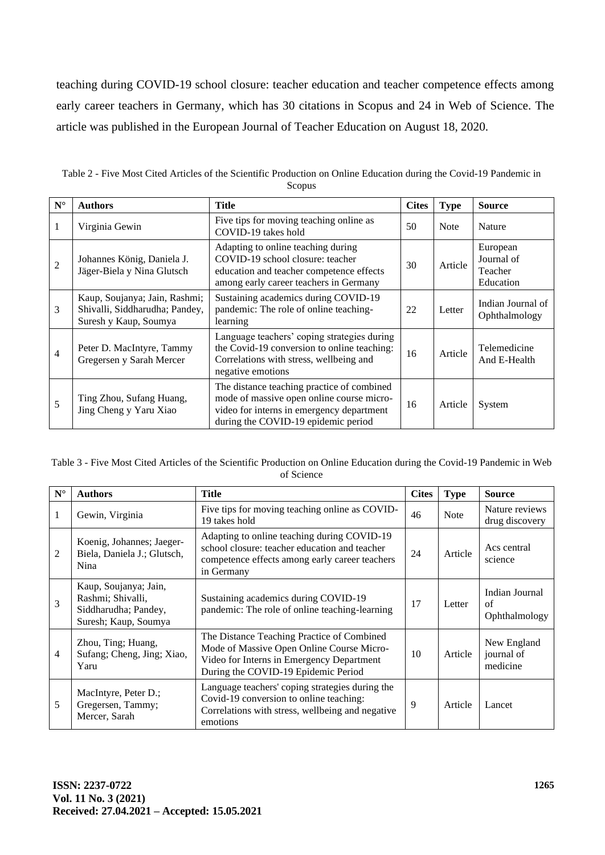teaching during COVID-19 school closure: teacher education and teacher competence effects among early career teachers in Germany, which has 30 citations in Scopus and 24 in Web of Science. The article was published in the European Journal of Teacher Education on August 18, 2020.

| $N^{\circ}$    | <b>Authors</b>                                                                           | <b>Title</b>                                                                                                                                                                | <b>Cites</b> | <b>Type</b> | <b>Source</b>                                  |
|----------------|------------------------------------------------------------------------------------------|-----------------------------------------------------------------------------------------------------------------------------------------------------------------------------|--------------|-------------|------------------------------------------------|
|                | Virginia Gewin                                                                           | Five tips for moving teaching online as<br>COVID-19 takes hold                                                                                                              | 50           | Note        | Nature                                         |
| $\overline{2}$ | Johannes König, Daniela J.<br>Jäger-Biela y Nina Glutsch                                 | Adapting to online teaching during<br>COVID-19 school closure: teacher<br>education and teacher competence effects<br>among early career teachers in Germany                | 30           | Article     | European<br>Journal of<br>Teacher<br>Education |
| 3              | Kaup, Soujanya; Jain, Rashmi;<br>Shivalli, Siddharudha; Pandey,<br>Suresh y Kaup, Soumya | Sustaining academics during COVID-19<br>pandemic: The role of online teaching-<br>learning                                                                                  | 22           | Letter      | Indian Journal of<br>Ophthalmology             |
| 4              | Peter D. MacIntyre, Tammy<br>Gregersen y Sarah Mercer                                    | Language teachers' coping strategies during<br>the Covid-19 conversion to online teaching:<br>Correlations with stress, wellbeing and<br>negative emotions                  | 16           | Article     | Telemedicine<br>And E-Health                   |
| 5              | Ting Zhou, Sufang Huang,<br>Jing Cheng y Yaru Xiao                                       | The distance teaching practice of combined<br>mode of massive open online course micro-<br>video for interns in emergency department<br>during the COVID-19 epidemic period | 16           | Article     | System                                         |

Table 2 - Five Most Cited Articles of the Scientific Production on Online Education during the Covid-19 Pandemic in Scopus

| Table 3 - Five Most Cited Articles of the Scientific Production on Online Education during the Covid-19 Pandemic in Web |
|-------------------------------------------------------------------------------------------------------------------------|
| of Science                                                                                                              |

| $\mathbf{N}^\circ$ | <b>Authors</b>                                                                             | <b>Title</b>                                                                                                                                                                | <b>Cites</b> | <b>Type</b> | <b>Source</b>                         |
|--------------------|--------------------------------------------------------------------------------------------|-----------------------------------------------------------------------------------------------------------------------------------------------------------------------------|--------------|-------------|---------------------------------------|
| 1                  | Gewin, Virginia                                                                            | Five tips for moving teaching online as COVID-<br>19 takes hold                                                                                                             | 46           | <b>Note</b> | Nature reviews<br>drug discovery      |
| 2                  | Koenig, Johannes; Jaeger-<br>Biela, Daniela J.; Glutsch,<br>Nina                           | Adapting to online teaching during COVID-19<br>school closure: teacher education and teacher<br>competence effects among early career teachers<br>in Germany                | 24           | Article     | Acs central<br>science                |
| 3                  | Kaup, Soujanya; Jain,<br>Rashmi; Shivalli,<br>Siddharudha; Pandey,<br>Suresh; Kaup, Soumya | Sustaining academics during COVID-19<br>pandemic: The role of online teaching-learning                                                                                      | 17           | Letter      | Indian Journal<br>of<br>Ophthalmology |
| 4                  | Zhou, Ting; Huang,<br>Sufang; Cheng, Jing; Xiao,<br>Yaru                                   | The Distance Teaching Practice of Combined<br>Mode of Massive Open Online Course Micro-<br>Video for Interns in Emergency Department<br>During the COVID-19 Epidemic Period | 10           | Article     | New England<br>journal of<br>medicine |
| 5                  | MacIntyre, Peter D.;<br>Gregersen, Tammy;<br>Mercer, Sarah                                 | Language teachers' coping strategies during the<br>Covid-19 conversion to online teaching:<br>Correlations with stress, wellbeing and negative<br>emotions                  | 9            | Article     | Lancet                                |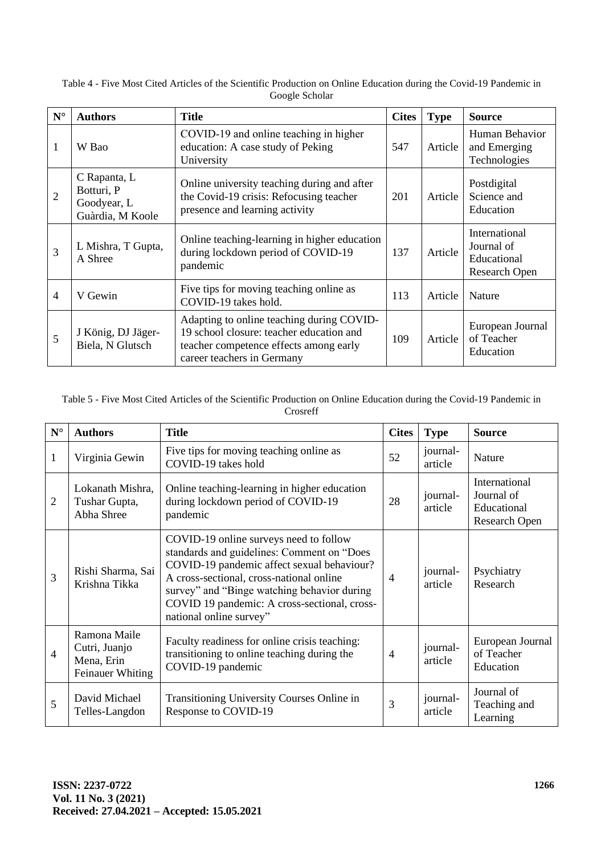| Table 4 - Five Most Cited Articles of the Scientific Production on Online Education during the Covid-19 Pandemic in |
|---------------------------------------------------------------------------------------------------------------------|
| Google Scholar                                                                                                      |

| $\mathbf{N}^\circ$ | <b>Authors</b>                                                | <b>Title</b>                                                                                                                                                  | <b>Cites</b> | <b>Type</b> | <b>Source</b>                                                      |
|--------------------|---------------------------------------------------------------|---------------------------------------------------------------------------------------------------------------------------------------------------------------|--------------|-------------|--------------------------------------------------------------------|
| 1                  | W Bao                                                         | COVID-19 and online teaching in higher<br>education: A case study of Peking<br>University                                                                     | 547          | Article     | Human Behavior<br>and Emerging<br>Technologies                     |
| $\overline{2}$     | C Rapanta, L<br>Botturi, P<br>Goodyear, L<br>Guàrdia, M Koole | Online university teaching during and after<br>the Covid-19 crisis: Refocusing teacher<br>presence and learning activity                                      | 201          | Article     | Postdigital<br>Science and<br>Education                            |
| 3                  | L Mishra, T Gupta,<br>A Shree                                 | Online teaching-learning in higher education<br>during lockdown period of COVID-19<br>pandemic                                                                | 137          | Article     | International<br>Journal of<br>Educational<br><b>Research Open</b> |
| $\overline{4}$     | V Gewin                                                       | Five tips for moving teaching online as<br>COVID-19 takes hold.                                                                                               | 113          | Article     | Nature                                                             |
| 5                  | J König, DJ Jäger-<br>Biela, N Glutsch                        | Adapting to online teaching during COVID-<br>19 school closure: teacher education and<br>teacher competence effects among early<br>career teachers in Germany | 109          | Article     | European Journal<br>of Teacher<br>Education                        |

#### Table 5 - Five Most Cited Articles of the Scientific Production on Online Education during the Covid-19 Pandemic in Crosreff

| ${\bf N}^{\circ}$ | <b>Authors</b>                                                  | <b>Title</b>                                                                                                                                                                                                                                                                                             | <b>Cites</b>   | <b>Type</b>         | <b>Source</b>                                                      |
|-------------------|-----------------------------------------------------------------|----------------------------------------------------------------------------------------------------------------------------------------------------------------------------------------------------------------------------------------------------------------------------------------------------------|----------------|---------------------|--------------------------------------------------------------------|
| 1                 | Virginia Gewin                                                  | Five tips for moving teaching online as<br>COVID-19 takes hold                                                                                                                                                                                                                                           | 52             | journal-<br>article | Nature                                                             |
| $\overline{2}$    | Lokanath Mishra,<br>Tushar Gupta,<br>Abha Shree                 | Online teaching-learning in higher education<br>during lockdown period of COVID-19<br>pandemic                                                                                                                                                                                                           | 28             | journal-<br>article | International<br>Journal of<br>Educational<br><b>Research Open</b> |
| 3                 | Rishi Sharma, Sai<br>Krishna Tikka                              | COVID-19 online surveys need to follow<br>standards and guidelines: Comment on "Does<br>COVID-19 pandemic affect sexual behaviour?<br>A cross-sectional, cross-national online<br>survey" and "Binge watching behavior during<br>COVID 19 pandemic: A cross-sectional, cross-<br>national online survey" | $\overline{4}$ | journal-<br>article | Psychiatry<br>Research                                             |
| 4                 | Ramona Maile<br>Cutri, Juanjo<br>Mena, Erin<br>Feinauer Whiting | Faculty readiness for online crisis teaching:<br>transitioning to online teaching during the<br>COVID-19 pandemic                                                                                                                                                                                        | $\overline{4}$ | journal-<br>article | European Journal<br>of Teacher<br>Education                        |
| 5                 | David Michael<br>Telles-Langdon                                 | Transitioning University Courses Online in<br>Response to COVID-19                                                                                                                                                                                                                                       | 3              | journal-<br>article | Journal of<br>Teaching and<br>Learning                             |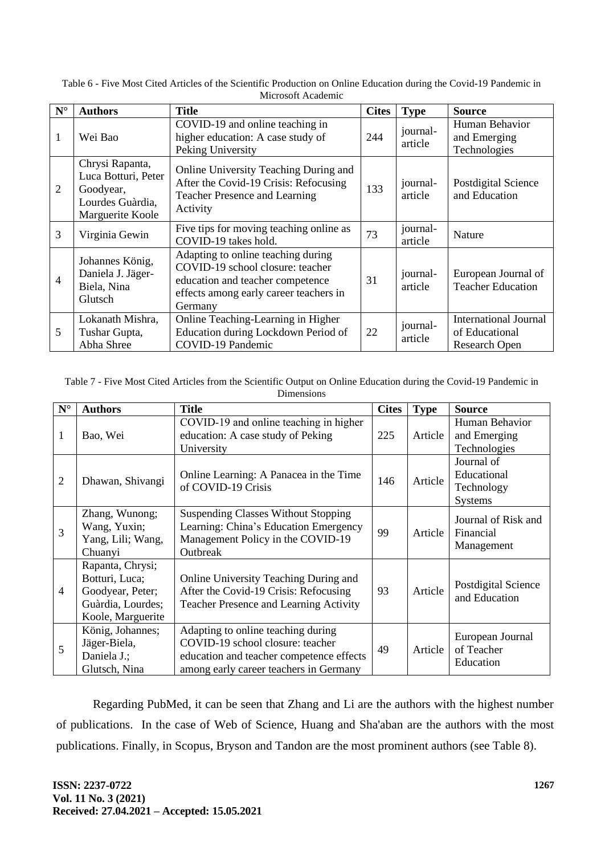| $\mathbf{N}^\circ$ | <b>Authors</b>                                                                              | <b>Title</b>                                                                                                                                                    | <b>Cites</b> | <b>Type</b>         | <b>Source</b>                                                          |
|--------------------|---------------------------------------------------------------------------------------------|-----------------------------------------------------------------------------------------------------------------------------------------------------------------|--------------|---------------------|------------------------------------------------------------------------|
| 1                  | Wei Bao                                                                                     | COVID-19 and online teaching in<br>higher education: A case study of<br>Peking University                                                                       | 244          | journal-<br>article | Human Behavior<br>and Emerging<br>Technologies                         |
| $\overline{2}$     | Chrysi Rapanta,<br>Luca Botturi, Peter<br>Goodyear,<br>Lourdes Guàrdia,<br>Marguerite Koole | Online University Teaching During and<br>After the Covid-19 Crisis: Refocusing<br><b>Teacher Presence and Learning</b><br>Activity                              | 133          | journal-<br>article | Postdigital Science<br>and Education                                   |
| 3                  | Virginia Gewin                                                                              | Five tips for moving teaching online as<br>COVID-19 takes hold.                                                                                                 | 73           | journal-<br>article | Nature                                                                 |
| $\overline{4}$     | Johannes König,<br>Daniela J. Jäger-<br>Biela, Nina<br>Glutsch                              | Adapting to online teaching during<br>COVID-19 school closure: teacher<br>education and teacher competence<br>effects among early career teachers in<br>Germany | 31           | journal-<br>article | European Journal of<br><b>Teacher Education</b>                        |
| 5                  | Lokanath Mishra,<br>Tushar Gupta,<br>Abha Shree                                             | Online Teaching-Learning in Higher<br>Education during Lockdown Period of<br>COVID-19 Pandemic                                                                  | 22           | journal-<br>article | <b>International Journal</b><br>of Educational<br><b>Research Open</b> |

Table 6 - Five Most Cited Articles of the Scientific Production on Online Education during the Covid-19 Pandemic in Microsoft Academic

Table 7 - Five Most Cited Articles from the Scientific Output on Online Education during the Covid-19 Pandemic in Dimensions

| $\mathbf{N}^\circ$ | <b>Authors</b>                                                                                   | <b>Title</b>                                                                                                                                                 | <b>Cites</b> | <b>Type</b> | <b>Source</b>                                      |
|--------------------|--------------------------------------------------------------------------------------------------|--------------------------------------------------------------------------------------------------------------------------------------------------------------|--------------|-------------|----------------------------------------------------|
| 1                  | Bao, Wei                                                                                         | COVID-19 and online teaching in higher<br>education: A case study of Peking<br>University                                                                    | 225          | Article     | Human Behavior<br>and Emerging<br>Technologies     |
| $\overline{2}$     | Dhawan, Shivangi                                                                                 | Online Learning: A Panacea in the Time<br>of COVID-19 Crisis                                                                                                 | 146          | Article     | Journal of<br>Educational<br>Technology<br>Systems |
| 3                  | Zhang, Wunong;<br>Wang, Yuxin;<br>Yang, Lili; Wang,<br>Chuanyi                                   | <b>Suspending Classes Without Stopping</b><br>Learning: China's Education Emergency<br>Management Policy in the COVID-19<br>Outbreak                         | 99           | Article     | Journal of Risk and<br>Financial<br>Management     |
| 4                  | Rapanta, Chrysi;<br>Botturi, Luca;<br>Goodyear, Peter;<br>Guàrdia, Lourdes;<br>Koole, Marguerite | Online University Teaching During and<br>After the Covid-19 Crisis: Refocusing<br>Teacher Presence and Learning Activity                                     | 93           | Article     | Postdigital Science<br>and Education               |
| 5                  | König, Johannes;<br>Jäger-Biela,<br>Daniela J.;<br>Glutsch, Nina                                 | Adapting to online teaching during<br>COVID-19 school closure: teacher<br>education and teacher competence effects<br>among early career teachers in Germany | 49           | Article     | European Journal<br>of Teacher<br>Education        |

Regarding PubMed, it can be seen that Zhang and Li are the authors with the highest number of publications. In the case of Web of Science, Huang and Sha'aban are the authors with the most publications. Finally, in Scopus, Bryson and Tandon are the most prominent authors (see Table 8).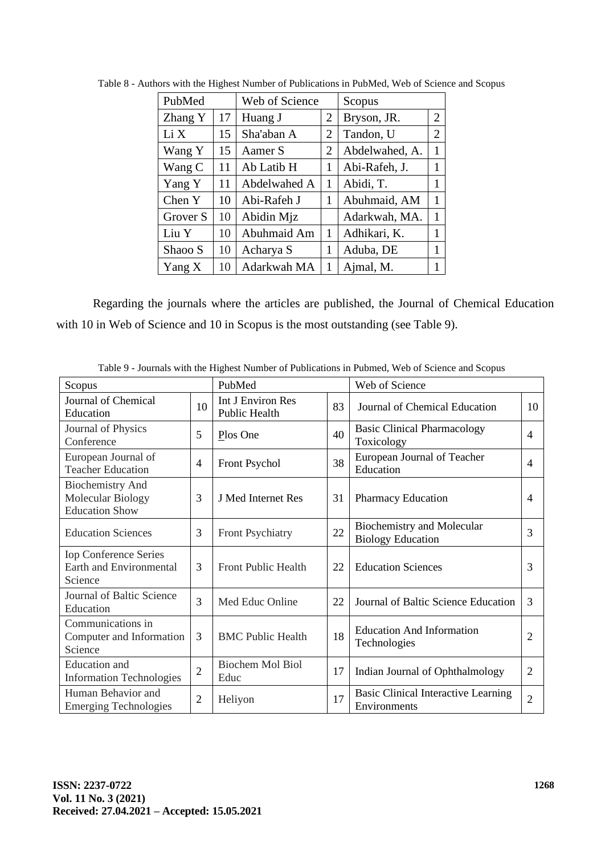| PubMed   |    | Web of Science |   | Scopus         |                |
|----------|----|----------------|---|----------------|----------------|
| Zhang Y  | 17 | Huang J        | 2 | Bryson, JR.    | $\overline{2}$ |
| Li X     | 15 | Sha'aban A     | 2 | Tandon, U      | $\overline{2}$ |
| Wang Y   | 15 | Aamer S        | 2 | Abdelwahed, A. | 1              |
| Wang C   | 11 | Ab Latib H     | 1 | Abi-Rafeh, J.  | 1              |
| Yang Y   | 11 | Abdelwahed A   | 1 | Abidi, T.      | 1              |
| Chen Y   | 10 | Abi-Rafeh J    | 1 | Abuhmaid, AM   | 1              |
| Grover S | 10 | Abidin Mjz     |   | Adarkwah, MA.  | 1              |
| Liu Y    | 10 | Abuhmaid Am    | 1 | Adhikari, K.   | 1              |
| Shaoo S  | 10 | Acharya S      | 1 | Aduba, DE      | 1              |
| Yang X   | 10 | Adarkwah MA    | 1 | Ajmal, M.      | 1              |

Table 8 - Authors with the Highest Number of Publications in PubMed, Web of Science and Scopus

Regarding the journals where the articles are published, the Journal of Chemical Education with 10 in Web of Science and 10 in Scopus is the most outstanding (see Table 9).

| Scopus                                                                |                | PubMed                             |    | Web of Science                                             |                |
|-----------------------------------------------------------------------|----------------|------------------------------------|----|------------------------------------------------------------|----------------|
| Journal of Chemical<br>Education                                      | 10             | Int J Environ Res<br>Public Health | 83 | Journal of Chemical Education                              | 10             |
| Journal of Physics<br>Conference                                      | 5              | Plos One                           | 40 | <b>Basic Clinical Pharmacology</b><br>Toxicology           | $\overline{4}$ |
| European Journal of<br><b>Teacher Education</b>                       | $\overline{4}$ | Front Psychol                      | 38 | European Journal of Teacher<br>Education                   | $\overline{4}$ |
| <b>Biochemistry And</b><br>Molecular Biology<br><b>Education Show</b> | 3              | J Med Internet Res                 | 31 | <b>Pharmacy Education</b>                                  | 4              |
| <b>Education Sciences</b>                                             | 3              | Front Psychiatry                   | 22 | Biochemistry and Molecular<br><b>Biology Education</b>     | 3              |
| <b>Iop Conference Series</b><br>Earth and Environmental<br>Science    | 3              | <b>Front Public Health</b>         | 22 | <b>Education Sciences</b>                                  | 3              |
| Journal of Baltic Science<br>Education                                | 3              | Med Educ Online                    | 22 | Journal of Baltic Science Education                        | 3              |
| Communications in<br>Computer and Information<br>Science              | 3              | <b>BMC Public Health</b>           | 18 | <b>Education And Information</b><br>Technologies           | $\overline{2}$ |
| <b>Education</b> and<br><b>Information Technologies</b>               | $\overline{2}$ | <b>Biochem Mol Biol</b><br>Educ    | 17 | Indian Journal of Ophthalmology                            | $\overline{2}$ |
| Human Behavior and<br><b>Emerging Technologies</b>                    | $\overline{2}$ | Heliyon                            | 17 | <b>Basic Clinical Interactive Learning</b><br>Environments | $\overline{2}$ |

Table 9 - Journals with the Highest Number of Publications in Pubmed, Web of Science and Scopus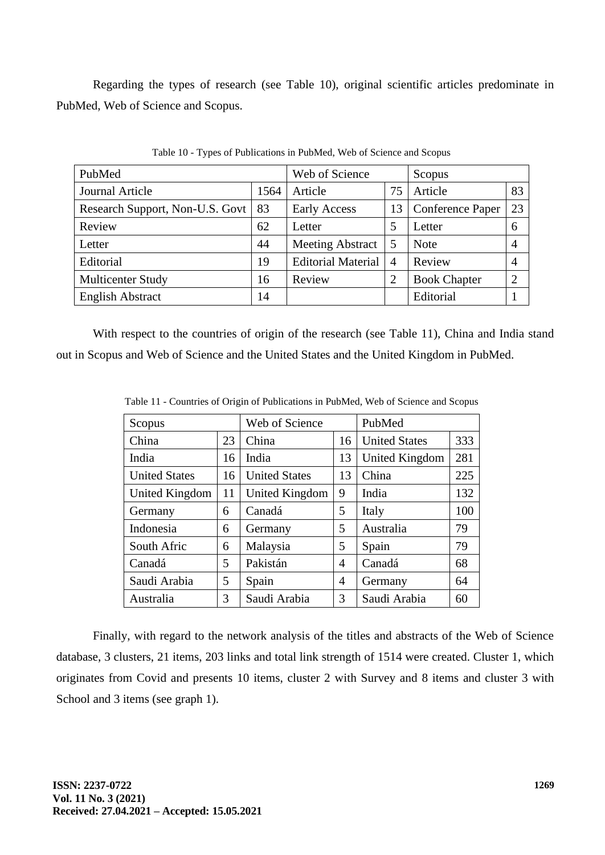Regarding the types of research (see Table 10), original scientific articles predominate in PubMed, Web of Science and Scopus.

| PubMed                          | Web of Science |                           | Scopus         |                     |                |
|---------------------------------|----------------|---------------------------|----------------|---------------------|----------------|
| Journal Article                 | 1564           | Article                   | 75             | Article             | 83             |
| Research Support, Non-U.S. Govt | 83             | <b>Early Access</b>       | 13             | Conference Paper    | 23             |
| Review                          | 62             | Letter                    | 5              | Letter              | 6              |
| Letter                          | 44             | <b>Meeting Abstract</b>   | 5              | <b>Note</b>         | $\overline{4}$ |
| Editorial                       | 19             | <b>Editorial Material</b> | $\overline{4}$ | Review              | $\overline{4}$ |
| Multicenter Study               | 16             | Review                    | $\overline{2}$ | <b>Book Chapter</b> | 2              |
| <b>English Abstract</b>         | 14             |                           |                | Editorial           |                |

Table 10 - Types of Publications in PubMed, Web of Science and Scopus

With respect to the countries of origin of the research (see Table 11), China and India stand out in Scopus and Web of Science and the United States and the United Kingdom in PubMed.

| Scopus               |    | Web of Science       |    | PubMed               |     |
|----------------------|----|----------------------|----|----------------------|-----|
| China                | 23 | China                | 16 | <b>United States</b> | 333 |
| India                | 16 | India                | 13 | United Kingdom       | 281 |
| <b>United States</b> | 16 | <b>United States</b> | 13 | China                | 225 |
| United Kingdom       | 11 | United Kingdom       | 9  | India                | 132 |
| Germany              | 6  | Canadá               | 5  | Italy                | 100 |
| Indonesia            | 6  | Germany              | 5  | Australia            | 79  |
| South Afric          | 6  | Malaysia             | 5  | Spain                | 79  |
| Canadá               | 5  | Pakistán             | 4  | Canadá               | 68  |
| Saudi Arabia         | 5  | Spain                | 4  | Germany              | 64  |
| Australia            | 3  | Saudi Arabia         | 3  | Saudi Arabia         | 60  |

Table 11 - Countries of Origin of Publications in PubMed, Web of Science and Scopus

Finally, with regard to the network analysis of the titles and abstracts of the Web of Science database, 3 clusters, 21 items, 203 links and total link strength of 1514 were created. Cluster 1, which originates from Covid and presents 10 items, cluster 2 with Survey and 8 items and cluster 3 with School and 3 items (see graph 1).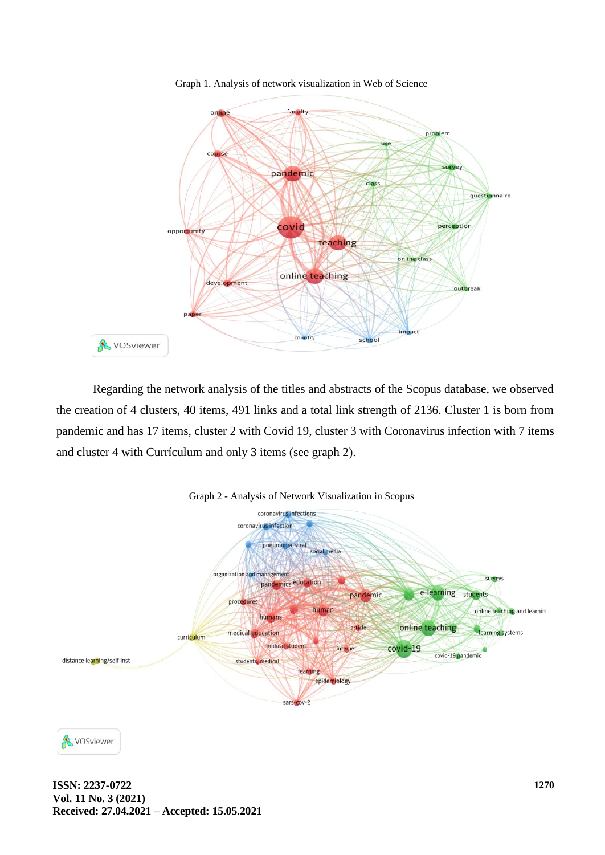

Graph 1. Analysis of network visualization in Web of Science

Regarding the network analysis of the titles and abstracts of the Scopus database, we observed the creation of 4 clusters, 40 items, 491 links and a total link strength of 2136. Cluster 1 is born from pandemic and has 17 items, cluster 2 with Covid 19, cluster 3 with Coronavirus infection with 7 items and cluster 4 with Currículum and only 3 items (see graph 2).





VOSviewer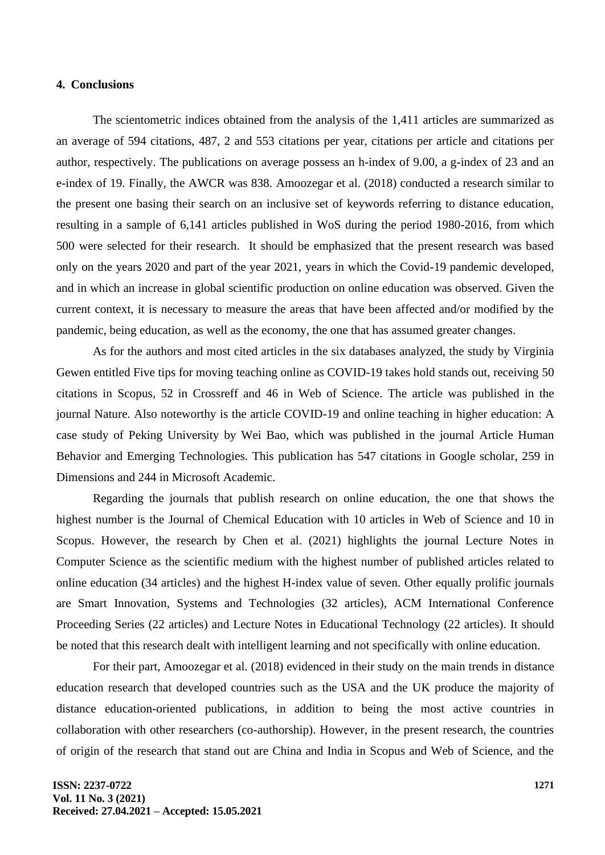#### **4. Conclusions**

The scientometric indices obtained from the analysis of the 1,411 articles are summarized as an average of 594 citations, 487, 2 and 553 citations per year, citations per article and citations per author, respectively. The publications on average possess an h-index of 9.00, a g-index of 23 and an e-index of 19. Finally, the AWCR was 838. Amoozegar et al. (2018) conducted a research similar to the present one basing their search on an inclusive set of keywords referring to distance education, resulting in a sample of 6,141 articles published in WoS during the period 1980-2016, from which 500 were selected for their research. It should be emphasized that the present research was based only on the years 2020 and part of the year 2021, years in which the Covid-19 pandemic developed, and in which an increase in global scientific production on online education was observed. Given the current context, it is necessary to measure the areas that have been affected and/or modified by the pandemic, being education, as well as the economy, the one that has assumed greater changes.

As for the authors and most cited articles in the six databases analyzed, the study by Virginia Gewen entitled Five tips for moving teaching online as COVID-19 takes hold stands out, receiving 50 citations in Scopus, 52 in Crossreff and 46 in Web of Science. The article was published in the journal Nature. Also noteworthy is the article COVID-19 and online teaching in higher education: A case study of Peking University by Wei Bao, which was published in the journal Article Human Behavior and Emerging Technologies. This publication has 547 citations in Google scholar, 259 in Dimensions and 244 in Microsoft Academic.

Regarding the journals that publish research on online education, the one that shows the highest number is the Journal of Chemical Education with 10 articles in Web of Science and 10 in Scopus. However, the research by Chen et al. (2021) highlights the journal Lecture Notes in Computer Science as the scientific medium with the highest number of published articles related to online education (34 articles) and the highest H-index value of seven. Other equally prolific journals are Smart Innovation, Systems and Technologies (32 articles), ACM International Conference Proceeding Series (22 articles) and Lecture Notes in Educational Technology (22 articles). It should be noted that this research dealt with intelligent learning and not specifically with online education.

For their part, Amoozegar et al. (2018) evidenced in their study on the main trends in distance education research that developed countries such as the USA and the UK produce the majority of distance education-oriented publications, in addition to being the most active countries in collaboration with other researchers (co-authorship). However, in the present research, the countries of origin of the research that stand out are China and India in Scopus and Web of Science, and the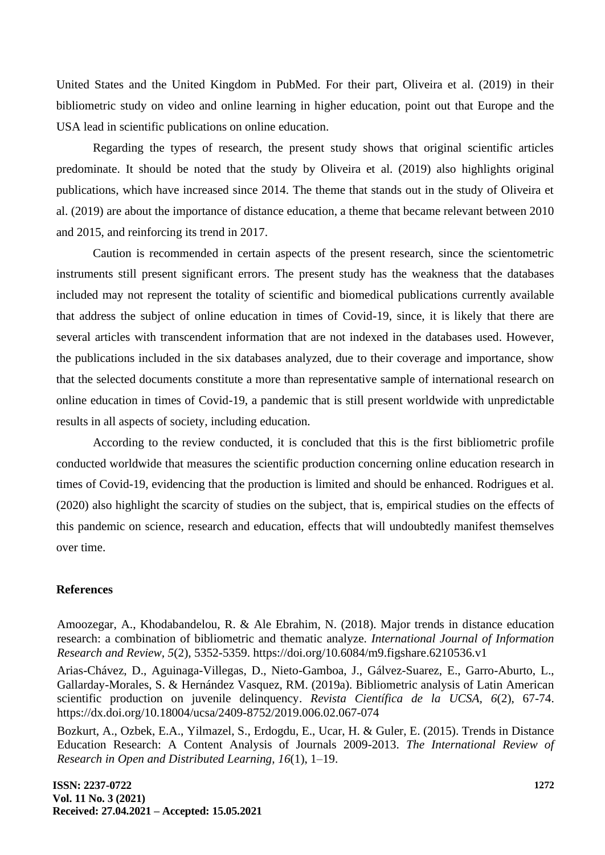United States and the United Kingdom in PubMed. For their part, Oliveira et al. (2019) in their bibliometric study on video and online learning in higher education, point out that Europe and the USA lead in scientific publications on online education.

Regarding the types of research, the present study shows that original scientific articles predominate. It should be noted that the study by Oliveira et al. (2019) also highlights original publications, which have increased since 2014. The theme that stands out in the study of Oliveira et al. (2019) are about the importance of distance education, a theme that became relevant between 2010 and 2015, and reinforcing its trend in 2017.

Caution is recommended in certain aspects of the present research, since the scientometric instruments still present significant errors. The present study has the weakness that the databases included may not represent the totality of scientific and biomedical publications currently available that address the subject of online education in times of Covid-19, since, it is likely that there are several articles with transcendent information that are not indexed in the databases used. However, the publications included in the six databases analyzed, due to their coverage and importance, show that the selected documents constitute a more than representative sample of international research on online education in times of Covid-19, a pandemic that is still present worldwide with unpredictable results in all aspects of society, including education.

According to the review conducted, it is concluded that this is the first bibliometric profile conducted worldwide that measures the scientific production concerning online education research in times of Covid-19, evidencing that the production is limited and should be enhanced. Rodrigues et al. (2020) also highlight the scarcity of studies on the subject, that is, empirical studies on the effects of this pandemic on science, research and education, effects that will undoubtedly manifest themselves over time.

#### **References**

Amoozegar, A., Khodabandelou, R. & Ale Ebrahim, N. (2018). Major trends in distance education research: a combination of bibliometric and thematic analyze. *International Journal of Information Research and Review, 5*(2), 5352-5359. https://doi.org/10.6084/m9.figshare.6210536.v1

Arias-Chávez, D., Aguinaga-Villegas, D., Nieto-Gamboa, J., Gálvez-Suarez, E., Garro-Aburto, L., Gallarday-Morales, S. & Hernández Vasquez, RM. (2019a). Bibliometric analysis of Latin American scientific production on juvenile delinquency. *Revista Científica de la UCSA, 6*(2), 67-74. https://dx.doi.org/10.18004/ucsa/2409-8752/2019.006.02.067-074

Bozkurt, A., Ozbek, E.A., Yilmazel, S., Erdogdu, E., Ucar, H. & Guler, E. (2015). Trends in Distance Education Research: A Content Analysis of Journals 2009-2013. *The International Review of Research in Open and Distributed Learning, 16*(1), 1–19.